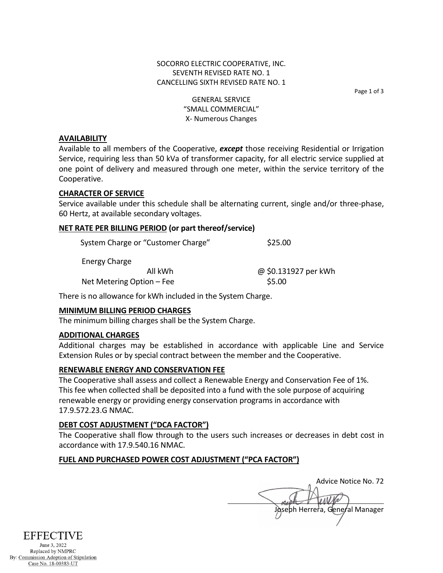Page 1 of 3

GENERAL SERVICE "SMALL COMMERCIAL" X- Numerous Changes

#### **AVAILABILITY**

Available to all members of the Cooperative, *except* those receiving Residential or Irrigation Service, requiring less than 50 kVa of transformer capacity, for all electric service supplied at one point of delivery and measured through one meter, within the service territory of the Cooperative.

#### **CHARACTER OF SERVICE**

Service available under this schedule shall be alternating current, single and/or three-phase, 60 Hertz, at available secondary voltages.

### **NET RATE PER BILLING PERIOD (or part thereof/service)**

| System Charge or "Customer Charge" | \$25.00              |
|------------------------------------|----------------------|
| Energy Charge                      |                      |
| All kWh                            | @ \$0.131927 per kWh |
| Net Metering Option – Fee          | \$5.00               |

There is no allowance for kWh included in the System Charge.

# **MINIMUM BILLING PERIOD CHARGES**

The minimum billing charges shall be the System Charge.

#### **ADDITIONAL CHARGES**

Additional charges may be established in accordance with applicable Line and Service Extension Rules or by special contract between the member and the Cooperative.

# **RENEWABLE ENERGY AND CONSERVATION FEE**

The Cooperative shall assess and collect a Renewable Energy and Conservation Fee of 1%. This fee when collected shall be deposited into a fund with the sole purpose of acquiring renewable energy or providing energy conservation programs in accordance with 17.9.572.23.G NMAC.

#### **DEBT COST ADJUSTMENT ("DCA FACTOR")**

The Cooperative shall flow through to the users such increases or decreases in debt cost in accordance with 17.9.540.16 NMAC.

# **FUEL AND PURCHASED POWER COST ADJUSTMENT ("PCA FACTOR")**

Advice Notice No. 72 Joseph Herrera, General Manager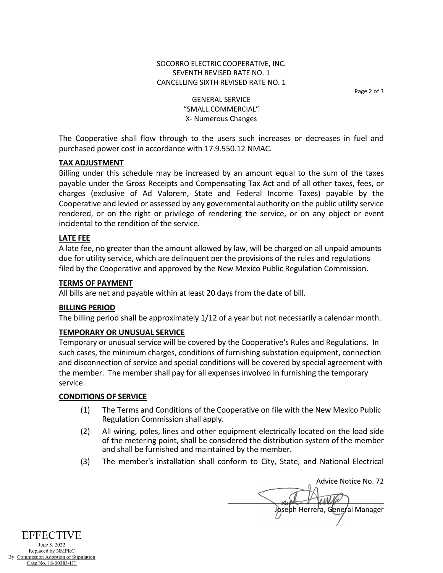# SOCORRO ELECTRIC COOPERATIVE, INC. SEVENTH REVISED RATE NO. 1 CANCELLING SIXTH REVISED RATE NO. 1

Page 2 of 3

GENERAL SERVICE "SMALL COMMERCIAL" X- Numerous Changes

The Cooperative shall flow through to the users such increases or decreases in fuel and purchased power cost in accordance with 17.9.550.12 NMAC.

# **TAX ADJUSTMENT**

Billing under this schedule may be increased by an amount equal to the sum of the taxes payable under the Gross Receipts and Compensating Tax Act and of all other taxes, fees, or charges (exclusive of Ad Valorem, State and Federal Income Taxes) payable by the Cooperative and levied or assessed by any governmental authority on the public utility service rendered, or on the right or privilege of rendering the service, or on any object or event incidental to the rendition of the service.

# **LATE FEE**

A late fee, no greater than the amount allowed by law, will be charged on all unpaid amounts due for utility service, which are delinquent per the provisions of the rules and regulations filed by the Cooperative and approved by the New Mexico Public Regulation Commission.

# **TERMS OF PAYMENT**

All bills are net and payable within at least 20 days from the date of bill.

# **BILLING PERIOD**

The billing period shall be approximately 1/12 of a year but not necessarily a calendar month.

# **TEMPORARY OR UNUSUAL SERVICE**

Temporary or unusual service will be covered by the Cooperative's Rules and Regulations. In such cases, the minimum charges, conditions of furnishing substation equipment, connection and disconnection of service and special conditions will be covered by special agreement with the member. The member shall pay for all expenses involved in furnishing the temporary service.

# **CONDITIONS OF SERVICE**

- (1) The Terms and Conditions of the Cooperative on file with the New Mexico Public Regulation Commission shall apply.
- (2) All wiring, poles, lines and other equipment electrically located on the load side of the metering point, shall be considered the distribution system of the member and shall be furnished and maintained by the member.
- (3) The member's installation shall conform to City, State, and National Electrical

Advice Notice No. 72 Joseph Herrera, General Manager